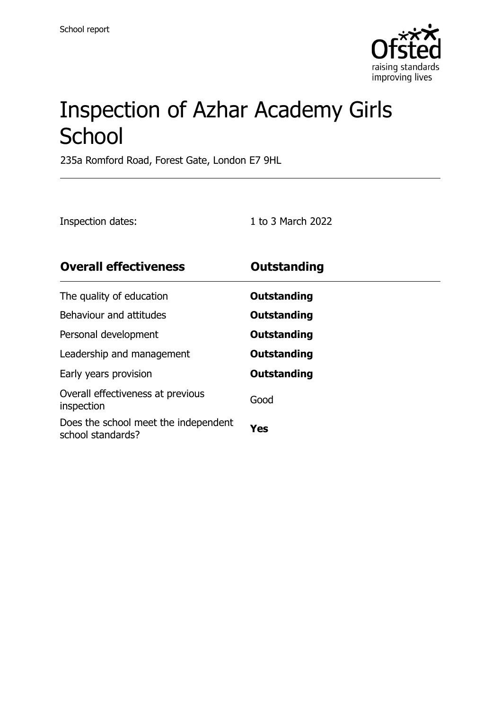

# Inspection of Azhar Academy Girls **School**

235a Romford Road, Forest Gate, London E7 9HL

| 1 to 3 March 2022 |
|-------------------|
|                   |

| <b>Overall effectiveness</b>                              | Outstanding |
|-----------------------------------------------------------|-------------|
| The quality of education                                  | Outstanding |
| Behaviour and attitudes                                   | Outstanding |
| Personal development                                      | Outstanding |
| Leadership and management                                 | Outstanding |
| Early years provision                                     | Outstanding |
| Overall effectiveness at previous<br>inspection           | Good        |
| Does the school meet the independent<br>school standards? | Yes         |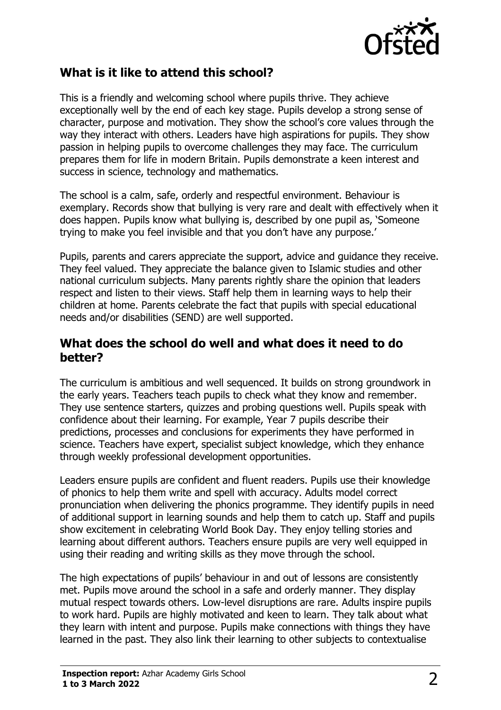

#### **What is it like to attend this school?**

This is a friendly and welcoming school where pupils thrive. They achieve exceptionally well by the end of each key stage. Pupils develop a strong sense of character, purpose and motivation. They show the school's core values through the way they interact with others. Leaders have high aspirations for pupils. They show passion in helping pupils to overcome challenges they may face. The curriculum prepares them for life in modern Britain. Pupils demonstrate a keen interest and success in science, technology and mathematics.

The school is a calm, safe, orderly and respectful environment. Behaviour is exemplary. Records show that bullying is very rare and dealt with effectively when it does happen. Pupils know what bullying is, described by one pupil as, 'Someone trying to make you feel invisible and that you don't have any purpose.'

Pupils, parents and carers appreciate the support, advice and guidance they receive. They feel valued. They appreciate the balance given to Islamic studies and other national curriculum subjects. Many parents rightly share the opinion that leaders respect and listen to their views. Staff help them in learning ways to help their children at home. Parents celebrate the fact that pupils with special educational needs and/or disabilities (SEND) are well supported.

#### **What does the school do well and what does it need to do better?**

The curriculum is ambitious and well sequenced. It builds on strong groundwork in the early years. Teachers teach pupils to check what they know and remember. They use sentence starters, quizzes and probing questions well. Pupils speak with confidence about their learning. For example, Year 7 pupils describe their predictions, processes and conclusions for experiments they have performed in science. Teachers have expert, specialist subject knowledge, which they enhance through weekly professional development opportunities.

Leaders ensure pupils are confident and fluent readers. Pupils use their knowledge of phonics to help them write and spell with accuracy. Adults model correct pronunciation when delivering the phonics programme. They identify pupils in need of additional support in learning sounds and help them to catch up. Staff and pupils show excitement in celebrating World Book Day. They enjoy telling stories and learning about different authors. Teachers ensure pupils are very well equipped in using their reading and writing skills as they move through the school.

The high expectations of pupils' behaviour in and out of lessons are consistently met. Pupils move around the school in a safe and orderly manner. They display mutual respect towards others. Low-level disruptions are rare. Adults inspire pupils to work hard. Pupils are highly motivated and keen to learn. They talk about what they learn with intent and purpose. Pupils make connections with things they have learned in the past. They also link their learning to other subjects to contextualise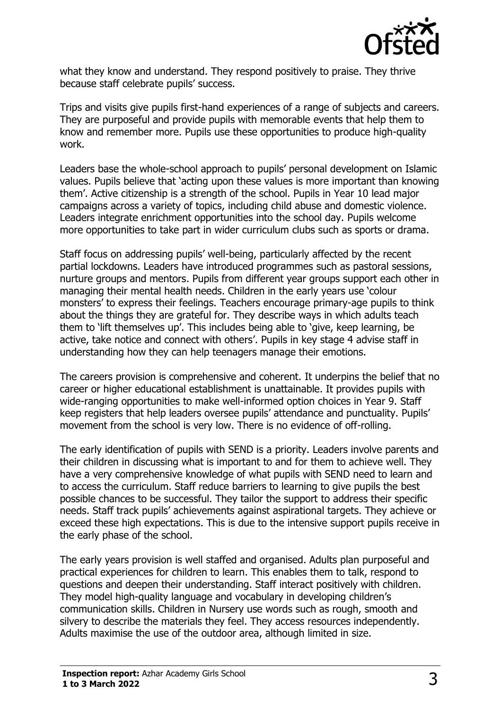

what they know and understand. They respond positively to praise. They thrive because staff celebrate pupils' success.

Trips and visits give pupils first-hand experiences of a range of subjects and careers. They are purposeful and provide pupils with memorable events that help them to know and remember more. Pupils use these opportunities to produce high-quality work.

Leaders base the whole-school approach to pupils' personal development on Islamic values. Pupils believe that 'acting upon these values is more important than knowing them'. Active citizenship is a strength of the school. Pupils in Year 10 lead major campaigns across a variety of topics, including child abuse and domestic violence. Leaders integrate enrichment opportunities into the school day. Pupils welcome more opportunities to take part in wider curriculum clubs such as sports or drama.

Staff focus on addressing pupils' well-being, particularly affected by the recent partial lockdowns. Leaders have introduced programmes such as pastoral sessions, nurture groups and mentors. Pupils from different year groups support each other in managing their mental health needs. Children in the early years use 'colour monsters' to express their feelings. Teachers encourage primary-age pupils to think about the things they are grateful for. They describe ways in which adults teach them to 'lift themselves up'. This includes being able to 'give, keep learning, be active, take notice and connect with others'. Pupils in key stage 4 advise staff in understanding how they can help teenagers manage their emotions.

The careers provision is comprehensive and coherent. It underpins the belief that no career or higher educational establishment is unattainable. It provides pupils with wide-ranging opportunities to make well-informed option choices in Year 9. Staff keep registers that help leaders oversee pupils' attendance and punctuality. Pupils' movement from the school is very low. There is no evidence of off-rolling.

The early identification of pupils with SEND is a priority. Leaders involve parents and their children in discussing what is important to and for them to achieve well. They have a very comprehensive knowledge of what pupils with SEND need to learn and to access the curriculum. Staff reduce barriers to learning to give pupils the best possible chances to be successful. They tailor the support to address their specific needs. Staff track pupils' achievements against aspirational targets. They achieve or exceed these high expectations. This is due to the intensive support pupils receive in the early phase of the school.

The early years provision is well staffed and organised. Adults plan purposeful and practical experiences for children to learn. This enables them to talk, respond to questions and deepen their understanding. Staff interact positively with children. They model high-quality language and vocabulary in developing children's communication skills. Children in Nursery use words such as rough, smooth and silvery to describe the materials they feel. They access resources independently. Adults maximise the use of the outdoor area, although limited in size.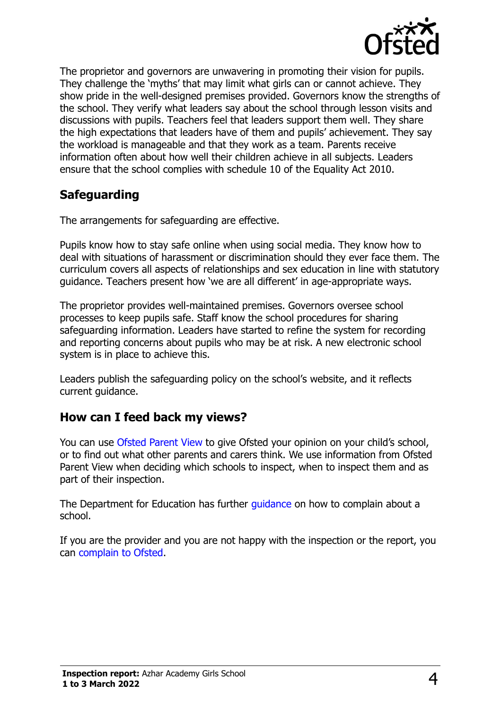

The proprietor and governors are unwavering in promoting their vision for pupils. They challenge the 'myths' that may limit what girls can or cannot achieve. They show pride in the well-designed premises provided. Governors know the strengths of the school. They verify what leaders say about the school through lesson visits and discussions with pupils. Teachers feel that leaders support them well. They share the high expectations that leaders have of them and pupils' achievement. They say the workload is manageable and that they work as a team. Parents receive information often about how well their children achieve in all subjects. Leaders ensure that the school complies with schedule 10 of the Equality Act 2010.

## **Safeguarding**

The arrangements for safeguarding are effective.

Pupils know how to stay safe online when using social media. They know how to deal with situations of harassment or discrimination should they ever face them. The curriculum covers all aspects of relationships and sex education in line with statutory guidance. Teachers present how 'we are all different' in age-appropriate ways.

The proprietor provides well-maintained premises. Governors oversee school processes to keep pupils safe. Staff know the school procedures for sharing safeguarding information. Leaders have started to refine the system for recording and reporting concerns about pupils who may be at risk. A new electronic school system is in place to achieve this.

Leaders publish the safeguarding policy on the school's website, and it reflects current guidance.

### **How can I feed back my views?**

You can use Ofsted Parent View to give Ofsted your opinion on your child's school, or to find out what other parents and carers think. We use information from Ofsted Parent View when deciding which schools to inspect, when to inspect them and as part of their inspection.

The Department for Education has further quidance on how to complain about a school.

If you are the provider and you are not happy with the inspection or the report, you can complain to Ofsted.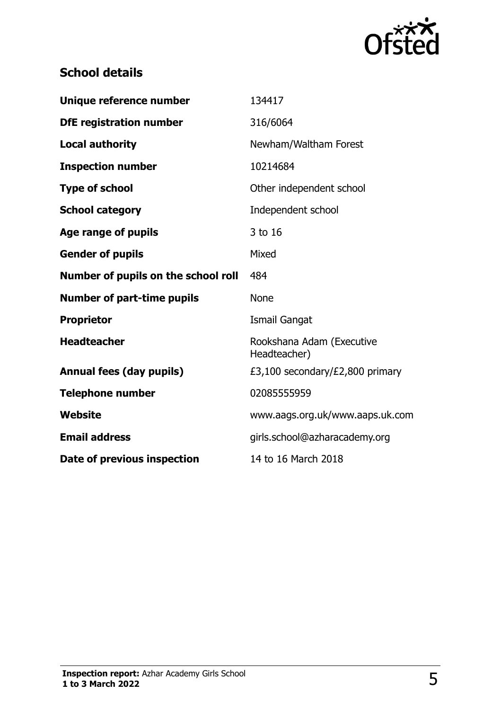

## **School details**

| Unique reference number             | 134417                                    |
|-------------------------------------|-------------------------------------------|
| <b>DfE registration number</b>      | 316/6064                                  |
| <b>Local authority</b>              | Newham/Waltham Forest                     |
| <b>Inspection number</b>            | 10214684                                  |
| <b>Type of school</b>               | Other independent school                  |
| <b>School category</b>              | Independent school                        |
| Age range of pupils                 | 3 to 16                                   |
| <b>Gender of pupils</b>             | Mixed                                     |
| Number of pupils on the school roll | 484                                       |
| <b>Number of part-time pupils</b>   | <b>None</b>                               |
|                                     |                                           |
| <b>Proprietor</b>                   | <b>Ismail Gangat</b>                      |
| <b>Headteacher</b>                  | Rookshana Adam (Executive<br>Headteacher) |
| <b>Annual fees (day pupils)</b>     | £3,100 secondary/£2,800 primary           |
| <b>Telephone number</b>             | 02085555959                               |
| Website                             | www.aags.org.uk/www.aaps.uk.com           |
| <b>Email address</b>                | girls.school@azharacademy.org             |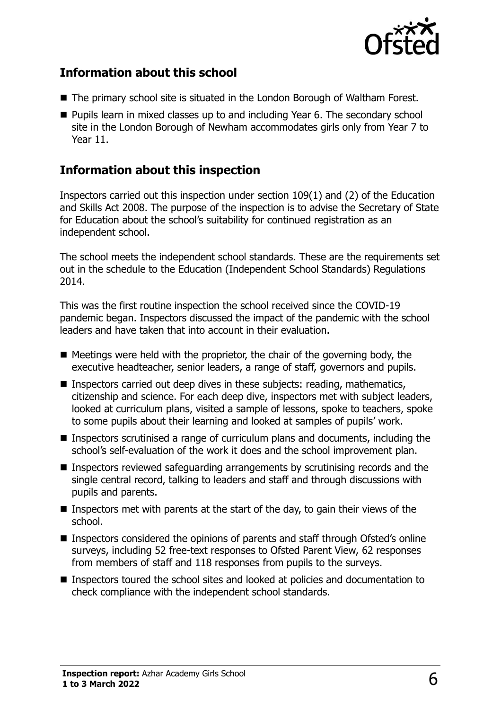

### **Information about this school**

- The primary school site is situated in the London Borough of Waltham Forest.
- Pupils learn in mixed classes up to and including Year 6. The secondary school site in the London Borough of Newham accommodates girls only from Year 7 to Year 11.

#### **Information about this inspection**

Inspectors carried out this inspection under section 109(1) and (2) of the Education and Skills Act 2008. The purpose of the inspection is to advise the Secretary of State for Education about the school's suitability for continued registration as an independent school.

The school meets the independent school standards. These are the requirements set out in the schedule to the Education (Independent School Standards) Regulations 2014.

This was the first routine inspection the school received since the COVID-19 pandemic began. Inspectors discussed the impact of the pandemic with the school leaders and have taken that into account in their evaluation.

- Meetings were held with the proprietor, the chair of the governing body, the executive headteacher, senior leaders, a range of staff, governors and pupils.
- Inspectors carried out deep dives in these subjects: reading, mathematics, citizenship and science. For each deep dive, inspectors met with subject leaders, looked at curriculum plans, visited a sample of lessons, spoke to teachers, spoke to some pupils about their learning and looked at samples of pupils' work.
- Inspectors scrutinised a range of curriculum plans and documents, including the school's self-evaluation of the work it does and the school improvement plan.
- Inspectors reviewed safeguarding arrangements by scrutinising records and the single central record, talking to leaders and staff and through discussions with pupils and parents.
- $\blacksquare$  Inspectors met with parents at the start of the day, to gain their views of the school.
- Inspectors considered the opinions of parents and staff through Ofsted's online surveys, including 52 free-text responses to Ofsted Parent View, 62 responses from members of staff and 118 responses from pupils to the surveys.
- Inspectors toured the school sites and looked at policies and documentation to check compliance with the independent school standards.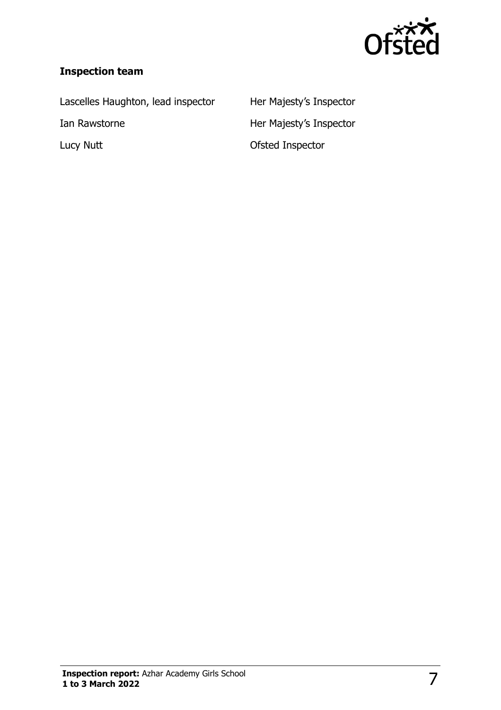

#### **Inspection team**

Lascelles Haughton, lead inspector Her Majesty's Inspector

Ian Rawstorne **Her Majesty's Inspector** Lucy Nutt **Contract Contract Contract Contract Contract Contract Contract Contract Contract Contract Contract Contract Contract Contract Contract Contract Contract Contract Contract Contract Contract Contract Contract Cont**